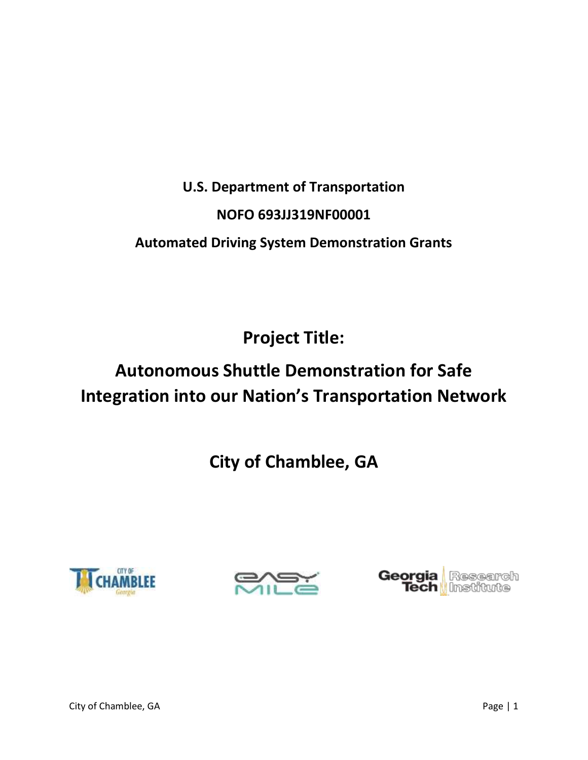# **U.S. Department of Transportation NOFO 693JJ319NF00001 Automated Driving System Demonstration Grants**

**Project Title:** 

# **Autonomous Shuttle Demonstration for Safe Integration into our Nation's Transportation Network**

**City of Chamblee, GA**





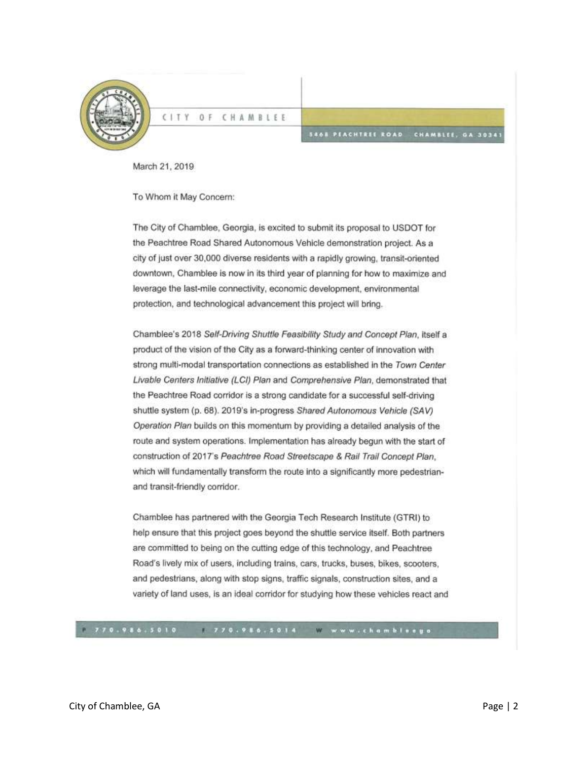

**CITY**  $0 F$ CHAMBLEE

#### **SAGE PEACHTREE ROAD** CHAMBLEE, GA 30341

March 21, 2019

To Whom it May Concern:

The City of Chamblee, Georgia, is excited to submit its proposal to USDOT for the Peachtree Road Shared Autonomous Vehicle demonstration project. As a city of just over 30,000 diverse residents with a rapidly growing, transit-oriented downtown, Chamblee is now in its third year of planning for how to maximize and leverage the last-mile connectivity, economic development, environmental protection, and technological advancement this project will bring.

Chamblee's 2018 Self-Driving Shuttle Feasibility Study and Concept Plan, itself a product of the vision of the City as a forward-thinking center of innovation with strong multi-modal transportation connections as established in the Town Center Livable Centers Initiative (LCI) Plan and Comprehensive Plan, demonstrated that the Peachtree Road corridor is a strong candidate for a successful self-driving shuttle system (p. 68). 2019's in-progress Shared Autonomous Vehicle (SAV) Operation Plan builds on this momentum by providing a detailed analysis of the route and system operations. Implementation has already begun with the start of construction of 2017's Peachtree Road Streetscape & Rail Trail Concept Plan. which will fundamentally transform the route into a significantly more pedestrianand transit-friendly corridor.

Chamblee has partnered with the Georgia Tech Research Institute (GTRI) to help ensure that this project goes beyond the shuttle service itself. Both partners are committed to being on the cutting edge of this technology, and Peachtree Road's lively mix of users, including trains, cars, trucks, buses, bikes, scooters, and pedestrians, along with stop signs, traffic signals, construction sites, and a variety of land uses, is an ideal corridor for studying how these vehicles react and

770.986.5010 770.986.5014 www.chamblaego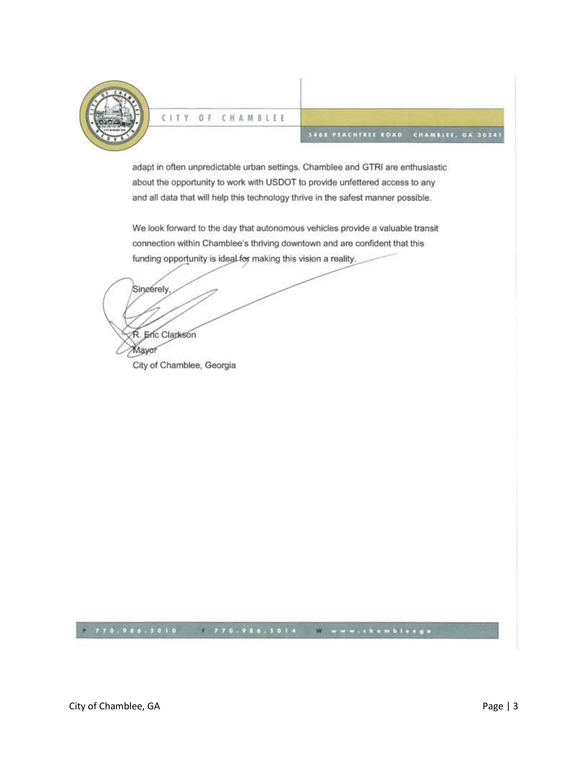

#### CITY  $0 F$ CHAMBLEE

#### **SAGE PEACHTREE ROAD** CHAMBLEE, OA 30341

adapt in often unpredictable urban settings. Chamblee and GTRI are enthusiastic about the opportunity to work with USDOT to provide unfettered access to any and all data that will help this technology thrive in the safest manner possible.

We look forward to the day that autonomous vehicles provide a valuable transit connection within Chamblee's thriving downtown and are confident that this funding opportunity is ideal for making this vision a reality.

Sincerely, R. Enc Clarkson Mayof City of Chamblee, Georgia

#### $770.986.5010$ 770.986.5014 www.chamblesga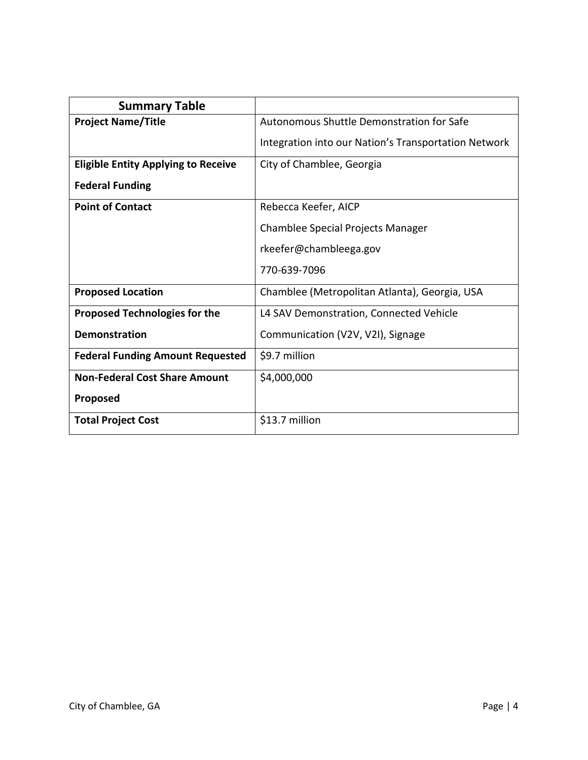| <b>Summary Table</b>                       |                                                      |
|--------------------------------------------|------------------------------------------------------|
| <b>Project Name/Title</b>                  | Autonomous Shuttle Demonstration for Safe            |
|                                            | Integration into our Nation's Transportation Network |
| <b>Eligible Entity Applying to Receive</b> | City of Chamblee, Georgia                            |
| <b>Federal Funding</b>                     |                                                      |
| <b>Point of Contact</b>                    | Rebecca Keefer, AICP                                 |
|                                            | Chamblee Special Projects Manager                    |
|                                            | rkeefer@chambleega.gov                               |
|                                            | 770-639-7096                                         |
| <b>Proposed Location</b>                   | Chamblee (Metropolitan Atlanta), Georgia, USA        |
| <b>Proposed Technologies for the</b>       | L4 SAV Demonstration, Connected Vehicle              |
| Demonstration                              | Communication (V2V, V2I), Signage                    |
| <b>Federal Funding Amount Requested</b>    | \$9.7 million                                        |
| <b>Non-Federal Cost Share Amount</b>       | \$4,000,000                                          |
| Proposed                                   |                                                      |
| <b>Total Project Cost</b>                  | \$13.7 million                                       |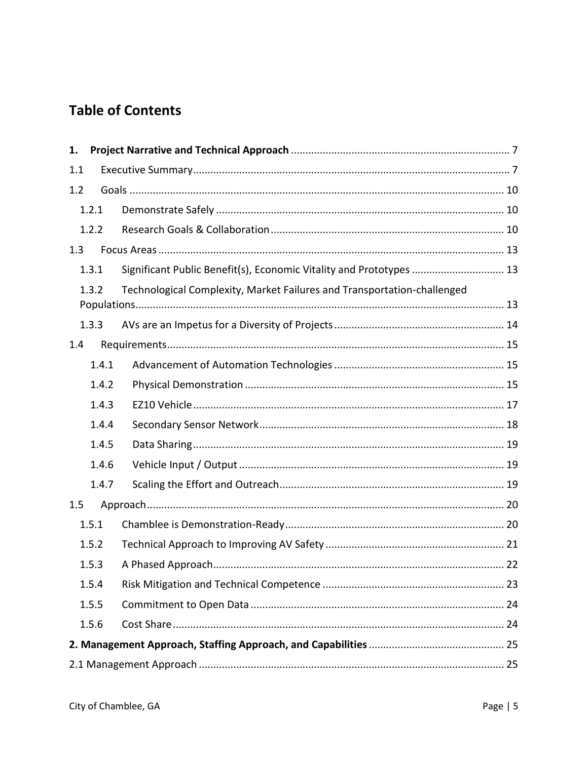# **Table of Contents**

| 1.  |       |                                                                         |  |
|-----|-------|-------------------------------------------------------------------------|--|
| 1.1 |       |                                                                         |  |
| 1.2 |       |                                                                         |  |
|     | 1.2.1 |                                                                         |  |
|     | 1.2.2 |                                                                         |  |
| 1.3 |       |                                                                         |  |
|     | 1.3.1 | Significant Public Benefit(s), Economic Vitality and Prototypes  13     |  |
|     | 1.3.2 | Technological Complexity, Market Failures and Transportation-challenged |  |
|     | 1.3.3 |                                                                         |  |
| 1.4 |       |                                                                         |  |
|     | 1.4.1 |                                                                         |  |
|     | 1.4.2 |                                                                         |  |
|     | 1.4.3 |                                                                         |  |
|     | 1.4.4 |                                                                         |  |
|     | 1.4.5 |                                                                         |  |
|     | 1.4.6 |                                                                         |  |
|     | 1.4.7 |                                                                         |  |
| 1.5 |       |                                                                         |  |
|     | 1.5.1 |                                                                         |  |
|     | 1.5.2 |                                                                         |  |
|     | 1.5.3 |                                                                         |  |
|     | 1.5.4 |                                                                         |  |
|     | 1.5.5 |                                                                         |  |
|     | 1.5.6 |                                                                         |  |
|     |       |                                                                         |  |
|     |       |                                                                         |  |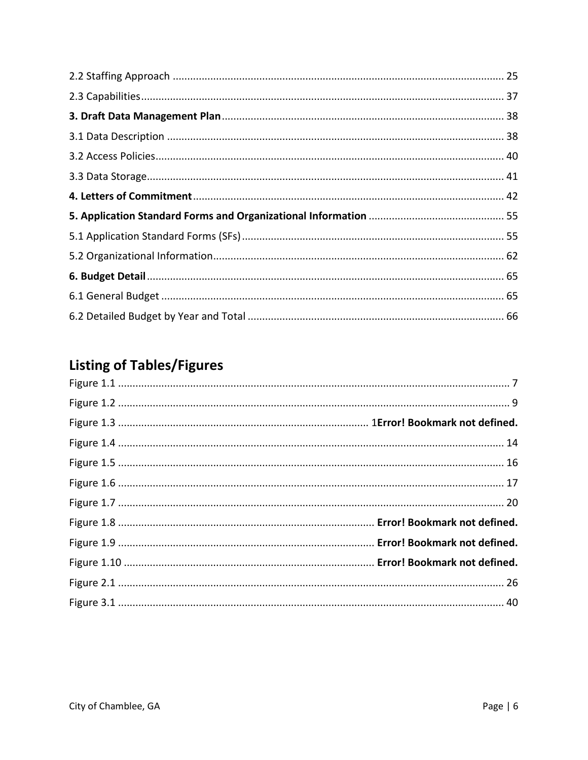# **Listing of Tables/Figures**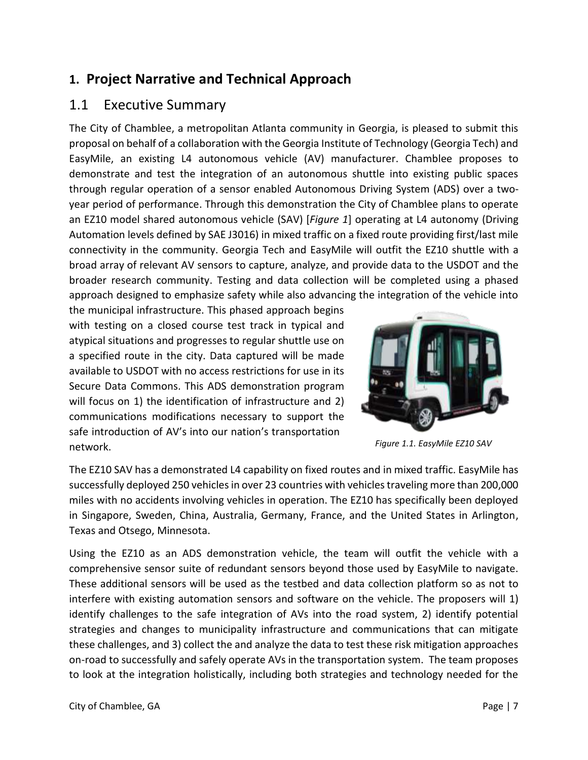# <span id="page-6-0"></span>**1. Project Narrative and Technical Approach**

# <span id="page-6-1"></span>1.1 Executive Summary

The City of Chamblee, a metropolitan Atlanta community in Georgia, is pleased to submit this proposal on behalf of a collaboration with the Georgia Institute of Technology (Georgia Tech) and EasyMile, an existing L4 autonomous vehicle (AV) manufacturer. Chamblee proposes to demonstrate and test the integration of an autonomous shuttle into existing public spaces through regular operation of a sensor enabled Autonomous Driving System (ADS) over a twoyear period of performance. Through this demonstration the City of Chamblee plans to operate an EZ10 model shared autonomous vehicle (SAV) [*Figure 1*] operating at L4 autonomy (Driving Automation levels defined by SAE J3016) in mixed traffic on a fixed route providing first/last mile connectivity in the community. Georgia Tech and EasyMile will outfit the EZ10 shuttle with a broad array of relevant AV sensors to capture, analyze, and provide data to the USDOT and the broader research community. Testing and data collection will be completed using a phased approach designed to emphasize safety while also advancing the integration of the vehicle into

the municipal infrastructure. This phased approach begins with testing on a closed course test track in typical and atypical situations and progresses to regular shuttle use on a specified route in the city. Data captured will be made available to USDOT with no access restrictions for use in its Secure Data Commons. This ADS demonstration program will focus on 1) the identification of infrastructure and 2) communications modifications necessary to support the safe introduction of AV's into our nation's transportation network.



*Figure 1.1. EasyMile EZ10 SAV*

The EZ10 SAV has a demonstrated L4 capability on fixed routes and in mixed traffic. EasyMile has successfully deployed 250 vehicles in over 23 countries with vehicles traveling more than 200,000 miles with no accidents involving vehicles in operation. The EZ10 has specifically been deployed in Singapore, Sweden, China, Australia, Germany, France, and the United States in Arlington, Texas and Otsego, Minnesota.

Using the EZ10 as an ADS demonstration vehicle, the team will outfit the vehicle with a comprehensive sensor suite of redundant sensors beyond those used by EasyMile to navigate. These additional sensors will be used as the testbed and data collection platform so as not to interfere with existing automation sensors and software on the vehicle. The proposers will 1) identify challenges to the safe integration of AVs into the road system, 2) identify potential strategies and changes to municipality infrastructure and communications that can mitigate these challenges, and 3) collect the and analyze the data to test these risk mitigation approaches on-road to successfully and safely operate AVs in the transportation system. The team proposes to look at the integration holistically, including both strategies and technology needed for the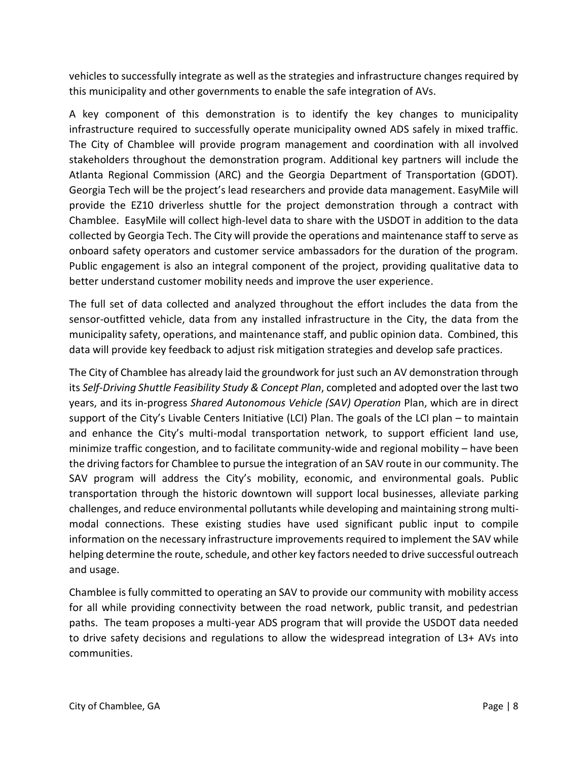vehicles to successfully integrate as well as the strategies and infrastructure changes required by this municipality and other governments to enable the safe integration of AVs.

A key component of this demonstration is to identify the key changes to municipality infrastructure required to successfully operate municipality owned ADS safely in mixed traffic. The City of Chamblee will provide program management and coordination with all involved stakeholders throughout the demonstration program. Additional key partners will include the Atlanta Regional Commission (ARC) and the Georgia Department of Transportation (GDOT). Georgia Tech will be the project's lead researchers and provide data management. EasyMile will provide the EZ10 driverless shuttle for the project demonstration through a contract with Chamblee. EasyMile will collect high-level data to share with the USDOT in addition to the data collected by Georgia Tech. The City will provide the operations and maintenance staff to serve as onboard safety operators and customer service ambassadors for the duration of the program. Public engagement is also an integral component of the project, providing qualitative data to better understand customer mobility needs and improve the user experience.

The full set of data collected and analyzed throughout the effort includes the data from the sensor-outfitted vehicle, data from any installed infrastructure in the City, the data from the municipality safety, operations, and maintenance staff, and public opinion data. Combined, this data will provide key feedback to adjust risk mitigation strategies and develop safe practices.

The City of Chamblee has already laid the groundwork for just such an AV demonstration through its *Self-Driving Shuttle Feasibility Study & Concept Plan*, completed and adopted over the last two years, and its in-progress *Shared Autonomous Vehicle (SAV) Operation* Plan, which are in direct support of the City's Livable Centers Initiative (LCI) Plan. The goals of the LCI plan – to maintain and enhance the City's multi-modal transportation network, to support efficient land use, minimize traffic congestion, and to facilitate community-wide and regional mobility – have been the driving factors for Chamblee to pursue the integration of an SAV route in our community. The SAV program will address the City's mobility, economic, and environmental goals. Public transportation through the historic downtown will support local businesses, alleviate parking challenges, and reduce environmental pollutants while developing and maintaining strong multimodal connections. These existing studies have used significant public input to compile information on the necessary infrastructure improvements required to implement the SAV while helping determine the route, schedule, and other key factors needed to drive successful outreach and usage.

Chamblee is fully committed to operating an SAV to provide our community with mobility access for all while providing connectivity between the road network, public transit, and pedestrian paths. The team proposes a multi-year ADS program that will provide the USDOT data needed to drive safety decisions and regulations to allow the widespread integration of L3+ AVs into communities.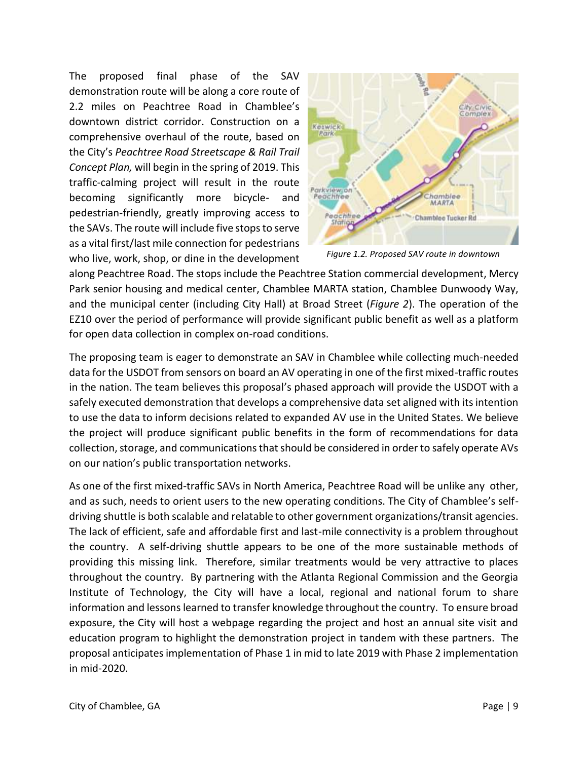The proposed final phase of the SAV demonstration route will be along a core route of 2.2 miles on Peachtree Road in Chamblee's downtown district corridor. Construction on a comprehensive overhaul of the route, based on the City's *Peachtree Road Streetscape & Rail Trail Concept Plan,* will begin in the spring of 2019. This traffic-calming project will result in the route becoming significantly more bicycle- and pedestrian-friendly, greatly improving access to the SAVs. The route will include five stops to serve as a vital first/last mile connection for pedestrians who live, work, shop, or dine in the development



*Figure 1.2. Proposed SAV route in downtown* 

along Peachtree Road. The stops include the Peachtree Station commercial development, Mercy Park senior housing and medical center, Chamblee MARTA station, Chamblee Dunwoody Way, and the municipal center (including City Hall) at Broad Street (*Figure 2*). The operation of the EZ10 over the period of performance will provide significant public benefit as well as a platform for open data collection in complex on-road conditions.

The proposing team is eager to demonstrate an SAV in Chamblee while collecting much-needed data for the USDOT from sensors on board an AV operating in one of the first mixed-traffic routes in the nation. The team believes this proposal's phased approach will provide the USDOT with a safely executed demonstration that develops a comprehensive data set aligned with its intention to use the data to inform decisions related to expanded AV use in the United States. We believe the project will produce significant public benefits in the form of recommendations for data collection, storage, and communications that should be considered in order to safely operate AVs on our nation's public transportation networks.

As one of the first mixed-traffic SAVs in North America, Peachtree Road will be unlike any other, and as such, needs to orient users to the new operating conditions. The City of Chamblee's selfdriving shuttle is both scalable and relatable to other government organizations/transit agencies. The lack of efficient, safe and affordable first and last-mile connectivity is a problem throughout the country. A self-driving shuttle appears to be one of the more sustainable methods of providing this missing link. Therefore, similar treatments would be very attractive to places throughout the country. By partnering with the Atlanta Regional Commission and the Georgia Institute of Technology, the City will have a local, regional and national forum to share information and lessons learned to transfer knowledge throughout the country. To ensure broad exposure, the City will host a webpage regarding the project and host an annual site visit and education program to highlight the demonstration project in tandem with these partners. The proposal anticipates implementation of Phase 1 in mid to late 2019 with Phase 2 implementation in mid-2020.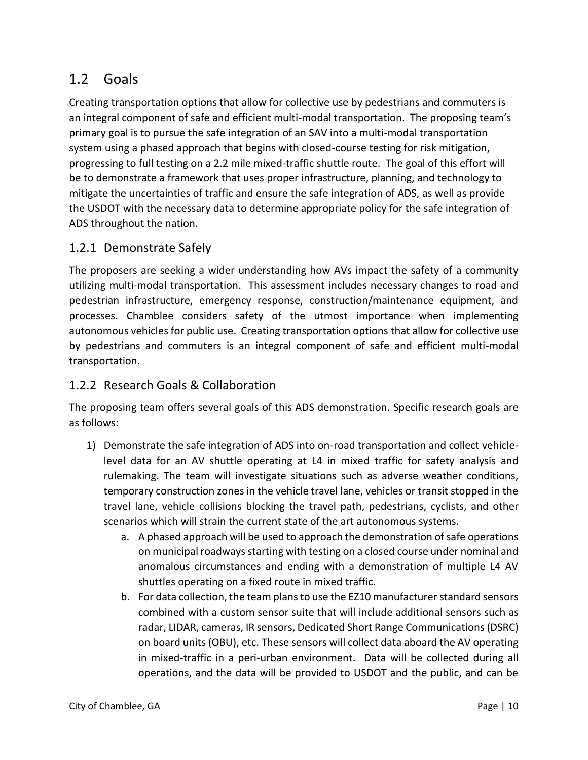# <span id="page-9-0"></span>1.2 Goals

Creating transportation options that allow for collective use by pedestrians and commuters is an integral component of safe and efficient multi-modal transportation. The proposing team's primary goal is to pursue the safe integration of an SAV into a multi-modal transportation system using a phased approach that begins with closed-course testing for risk mitigation, progressing to full testing on a 2.2 mile mixed-traffic shuttle route. The goal of this effort will be to demonstrate a framework that uses proper infrastructure, planning, and technology to mitigate the uncertainties of traffic and ensure the safe integration of ADS, as well as provide the USDOT with the necessary data to determine appropriate policy for the safe integration of ADS throughout the nation.

### <span id="page-9-1"></span>1.2.1 Demonstrate Safely

The proposers are seeking a wider understanding how AVs impact the safety of a community utilizing multi-modal transportation. This assessment includes necessary changes to road and pedestrian infrastructure, emergency response, construction/maintenance equipment, and processes. Chamblee considers safety of the utmost importance when implementing autonomous vehicles for public use. Creating transportation options that allow for collective use by pedestrians and commuters is an integral component of safe and efficient multi-modal transportation.

# <span id="page-9-2"></span>1.2.2 Research Goals & Collaboration

The proposing team offers several goals of this ADS demonstration. Specific research goals are as follows:

- 1) Demonstrate the safe integration of ADS into on-road transportation and collect vehiclelevel data for an AV shuttle operating at L4 in mixed traffic for safety analysis and rulemaking. The team will investigate situations such as adverse weather conditions, temporary construction zones in the vehicle travel lane, vehicles or transit stopped in the travel lane, vehicle collisions blocking the travel path, pedestrians, cyclists, and other scenarios which will strain the current state of the art autonomous systems.
	- a. A phased approach will be used to approach the demonstration of safe operations on municipal roadways starting with testing on a closed course under nominal and anomalous circumstances and ending with a demonstration of multiple L4 AV shuttles operating on a fixed route in mixed traffic.
	- b. For data collection, the team plans to use the EZ10 manufacturer standard sensors combined with a custom sensor suite that will include additional sensors such as radar, LIDAR, cameras, IR sensors, Dedicated Short Range Communications (DSRC) on board units (OBU), etc. These sensors will collect data aboard the AV operating in mixed-traffic in a peri-urban environment. Data will be collected during all operations, and the data will be provided to USDOT and the public, and can be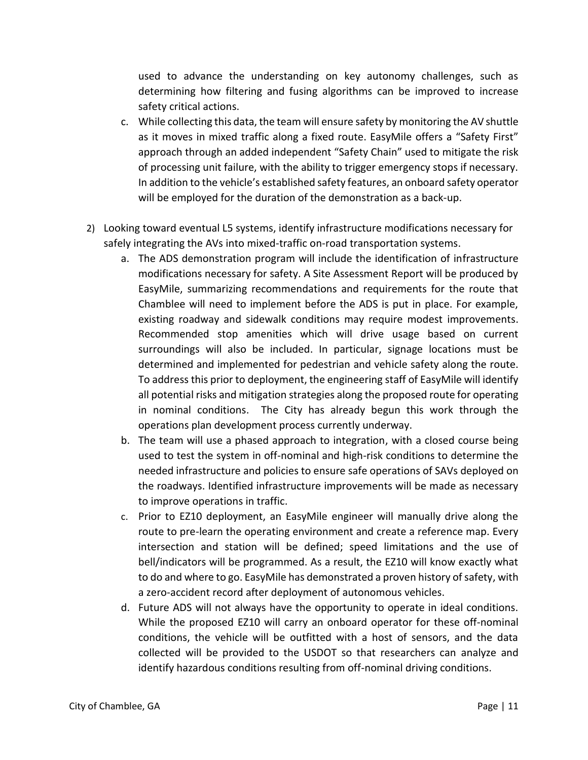used to advance the understanding on key autonomy challenges, such as determining how filtering and fusing algorithms can be improved to increase safety critical actions.

- c. While collecting this data, the team will ensure safety by monitoring the AV shuttle as it moves in mixed traffic along a fixed route. EasyMile offers a "Safety First" approach through an added independent "Safety Chain" used to mitigate the risk of processing unit failure, with the ability to trigger emergency stops if necessary. In addition to the vehicle's established safety features, an onboard safety operator will be employed for the duration of the demonstration as a back-up.
- 2) Looking toward eventual L5 systems, identify infrastructure modifications necessary for safely integrating the AVs into mixed-traffic on-road transportation systems.
	- a. The ADS demonstration program will include the identification of infrastructure modifications necessary for safety. A Site Assessment Report will be produced by EasyMile, summarizing recommendations and requirements for the route that Chamblee will need to implement before the ADS is put in place. For example, existing roadway and sidewalk conditions may require modest improvements. Recommended stop amenities which will drive usage based on current surroundings will also be included. In particular, signage locations must be determined and implemented for pedestrian and vehicle safety along the route. To address this prior to deployment, the engineering staff of EasyMile will identify all potential risks and mitigation strategies along the proposed route for operating in nominal conditions. The City has already begun this work through the operations plan development process currently underway.
	- b. The team will use a phased approach to integration, with a closed course being used to test the system in off-nominal and high-risk conditions to determine the needed infrastructure and policies to ensure safe operations of SAVs deployed on the roadways. Identified infrastructure improvements will be made as necessary to improve operations in traffic.
	- c. Prior to EZ10 deployment, an EasyMile engineer will manually drive along the route to pre-learn the operating environment and create a reference map. Every intersection and station will be defined; speed limitations and the use of bell/indicators will be programmed. As a result, the EZ10 will know exactly what to do and where to go. EasyMile has demonstrated a proven history of safety, with a zero-accident record after deployment of autonomous vehicles.
	- d. Future ADS will not always have the opportunity to operate in ideal conditions. While the proposed EZ10 will carry an onboard operator for these off-nominal conditions, the vehicle will be outfitted with a host of sensors, and the data collected will be provided to the USDOT so that researchers can analyze and identify hazardous conditions resulting from off-nominal driving conditions.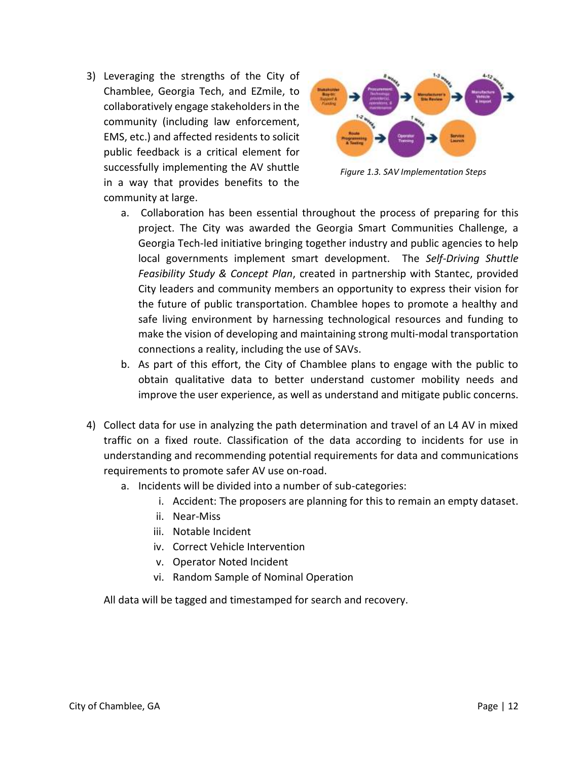3) Leveraging the strengths of the City of Chamblee, Georgia Tech, and EZmile, to collaboratively engage stakeholders in the community (including law enforcement, EMS, etc.) and affected residents to solicit public feedback is a critical element for successfully implementing the AV shuttle in a way that provides benefits to the community at large.



*Figure 1.3. SAV Implementation Steps*

- a. Collaboration has been essential throughout the process of preparing for this project. The City was awarded the Georgia Smart Communities Challenge, a Georgia Tech-led initiative bringing together industry and public agencies to help local governments implement smart development. The *Self-Driving Shuttle Feasibility Study & Concept Plan*, created in partnership with Stantec, provided City leaders and community members an opportunity to express their vision for the future of public transportation. Chamblee hopes to promote a healthy and safe living environment by harnessing technological resources and funding to make the vision of developing and maintaining strong multi-modal transportation connections a reality, including the use of SAVs.
- b. As part of this effort, the City of Chamblee plans to engage with the public to obtain qualitative data to better understand customer mobility needs and improve the user experience, as well as understand and mitigate public concerns.
- 4) Collect data for use in analyzing the path determination and travel of an L4 AV in mixed traffic on a fixed route. Classification of the data according to incidents for use in understanding and recommending potential requirements for data and communications requirements to promote safer AV use on-road.
	- a. Incidents will be divided into a number of sub-categories:
		- i. Accident: The proposers are planning for this to remain an empty dataset.
		- ii. Near-Miss
		- iii. Notable Incident
		- iv. Correct Vehicle Intervention
		- v. Operator Noted Incident
		- vi. Random Sample of Nominal Operation

All data will be tagged and timestamped for search and recovery.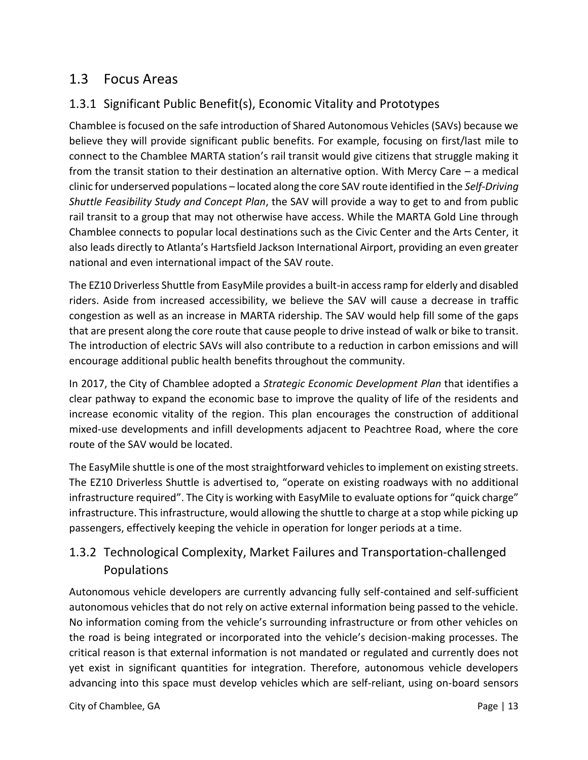# <span id="page-12-0"></span>1.3 Focus Areas

# <span id="page-12-1"></span>1.3.1 Significant Public Benefit(s), Economic Vitality and Prototypes

Chamblee is focused on the safe introduction of Shared Autonomous Vehicles (SAVs) because we believe they will provide significant public benefits. For example, focusing on first/last mile to connect to the Chamblee MARTA station's rail transit would give citizens that struggle making it from the transit station to their destination an alternative option. With Mercy Care – a medical clinic for underserved populations – located along the core SAV route identified in the *Self-Driving Shuttle Feasibility Study and Concept Plan*, the SAV will provide a way to get to and from public rail transit to a group that may not otherwise have access. While the MARTA Gold Line through Chamblee connects to popular local destinations such as the Civic Center and the Arts Center, it also leads directly to Atlanta's Hartsfield Jackson International Airport, providing an even greater national and even international impact of the SAV route.

The EZ10 Driverless Shuttle from EasyMile provides a built-in access ramp for elderly and disabled riders. Aside from increased accessibility, we believe the SAV will cause a decrease in traffic congestion as well as an increase in MARTA ridership. The SAV would help fill some of the gaps that are present along the core route that cause people to drive instead of walk or bike to transit. The introduction of electric SAVs will also contribute to a reduction in carbon emissions and will encourage additional public health benefits throughout the community.

In 2017, the City of Chamblee adopted a *Strategic Economic Development Plan* that identifies a clear pathway to expand the economic base to improve the quality of life of the residents and increase economic vitality of the region. This plan encourages the construction of additional mixed-use developments and infill developments adjacent to Peachtree Road, where the core route of the SAV would be located.

The EasyMile shuttle is one of the most straightforward vehicles to implement on existing streets. The EZ10 Driverless Shuttle is advertised to, "operate on existing roadways with no additional infrastructure required". The City is working with EasyMile to evaluate options for "quick charge" infrastructure. This infrastructure, would allowing the shuttle to charge at a stop while picking up passengers, effectively keeping the vehicle in operation for longer periods at a time.

# <span id="page-12-2"></span>1.3.2 Technological Complexity, Market Failures and Transportation-challenged Populations

Autonomous vehicle developers are currently advancing fully self-contained and self-sufficient autonomous vehicles that do not rely on active external information being passed to the vehicle. No information coming from the vehicle's surrounding infrastructure or from other vehicles on the road is being integrated or incorporated into the vehicle's decision-making processes. The critical reason is that external information is not mandated or regulated and currently does not yet exist in significant quantities for integration. Therefore, autonomous vehicle developers advancing into this space must develop vehicles which are self-reliant, using on-board sensors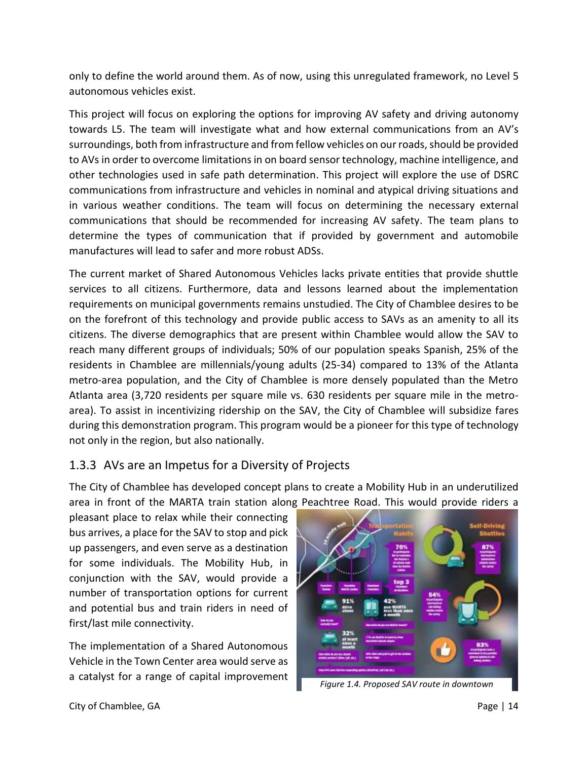only to define the world around them. As of now, using this unregulated framework, no Level 5 autonomous vehicles exist.

This project will focus on exploring the options for improving AV safety and driving autonomy towards L5. The team will investigate what and how external communications from an AV's surroundings, both from infrastructure and from fellow vehicles on our roads, should be provided to AVs in order to overcome limitations in on board sensor technology, machine intelligence, and other technologies used in safe path determination. This project will explore the use of DSRC communications from infrastructure and vehicles in nominal and atypical driving situations and in various weather conditions. The team will focus on determining the necessary external communications that should be recommended for increasing AV safety. The team plans to determine the types of communication that if provided by government and automobile manufactures will lead to safer and more robust ADSs.

The current market of Shared Autonomous Vehicles lacks private entities that provide shuttle services to all citizens. Furthermore, data and lessons learned about the implementation requirements on municipal governments remains unstudied. The City of Chamblee desires to be on the forefront of this technology and provide public access to SAVs as an amenity to all its citizens. The diverse demographics that are present within Chamblee would allow the SAV to reach many different groups of individuals; 50% of our population speaks Spanish, 25% of the residents in Chamblee are millennials/young adults (25-34) compared to 13% of the Atlanta metro-area population, and the City of Chamblee is more densely populated than the Metro Atlanta area (3,720 residents per square mile vs. 630 residents per square mile in the metroarea). To assist in incentivizing ridership on the SAV, the City of Chamblee will subsidize fares during this demonstration program. This program would be a pioneer for this type of technology not only in the region, but also nationally.

### <span id="page-13-0"></span>1.3.3 AVs are an Impetus for a Diversity of Projects

The City of Chamblee has developed concept plans to create a Mobility Hub in an underutilized area in front of the MARTA train station along Peachtree Road. This would provide riders a

pleasant place to relax while their connecting bus arrives, a place for the SAV to stop and pick up passengers, and even serve as a destination for some individuals. The Mobility Hub, in conjunction with the SAV, would provide a number of transportation options for current and potential bus and train riders in need of first/last mile connectivity.

The implementation of a Shared Autonomous Vehicle in the Town Center area would serve as a catalyst for a range of capital improvement



*Figure 1.4. Proposed SAV route in downtown*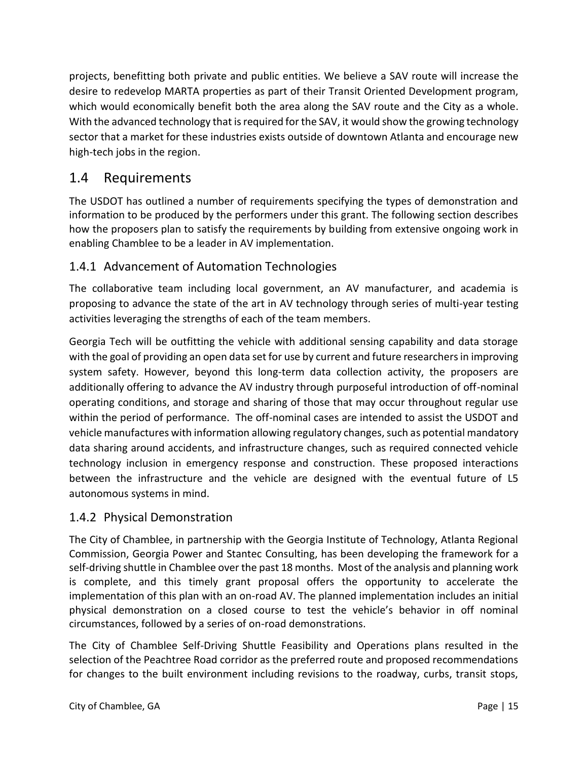projects, benefitting both private and public entities. We believe a SAV route will increase the desire to redevelop MARTA properties as part of their Transit Oriented Development program, which would economically benefit both the area along the SAV route and the City as a whole. With the advanced technology that is required for the SAV, it would show the growing technology sector that a market for these industries exists outside of downtown Atlanta and encourage new high-tech jobs in the region.

# <span id="page-14-0"></span>1.4 Requirements

The USDOT has outlined a number of requirements specifying the types of demonstration and information to be produced by the performers under this grant. The following section describes how the proposers plan to satisfy the requirements by building from extensive ongoing work in enabling Chamblee to be a leader in AV implementation.

# <span id="page-14-1"></span>1.4.1 Advancement of Automation Technologies

The collaborative team including local government, an AV manufacturer, and academia is proposing to advance the state of the art in AV technology through series of multi-year testing activities leveraging the strengths of each of the team members.

Georgia Tech will be outfitting the vehicle with additional sensing capability and data storage with the goal of providing an open data set for use by current and future researchers in improving system safety. However, beyond this long-term data collection activity, the proposers are additionally offering to advance the AV industry through purposeful introduction of off-nominal operating conditions, and storage and sharing of those that may occur throughout regular use within the period of performance. The off-nominal cases are intended to assist the USDOT and vehicle manufactures with information allowing regulatory changes, such as potential mandatory data sharing around accidents, and infrastructure changes, such as required connected vehicle technology inclusion in emergency response and construction. These proposed interactions between the infrastructure and the vehicle are designed with the eventual future of L5 autonomous systems in mind.

# <span id="page-14-2"></span>1.4.2 Physical Demonstration

The City of Chamblee, in partnership with the Georgia Institute of Technology, Atlanta Regional Commission, Georgia Power and Stantec Consulting, has been developing the framework for a self-driving shuttle in Chamblee over the past 18 months. Most of the analysis and planning work is complete, and this timely grant proposal offers the opportunity to accelerate the implementation of this plan with an on-road AV. The planned implementation includes an initial physical demonstration on a closed course to test the vehicle's behavior in off nominal circumstances, followed by a series of on-road demonstrations.

The City of Chamblee Self-Driving Shuttle Feasibility and Operations plans resulted in the selection of the Peachtree Road corridor as the preferred route and proposed recommendations for changes to the built environment including revisions to the roadway, curbs, transit stops,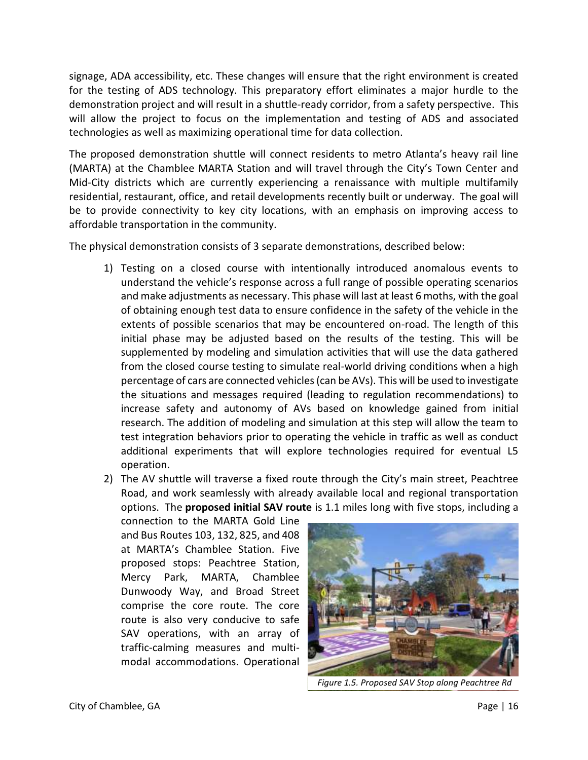signage, ADA accessibility, etc. These changes will ensure that the right environment is created for the testing of ADS technology. This preparatory effort eliminates a major hurdle to the demonstration project and will result in a shuttle-ready corridor, from a safety perspective. This will allow the project to focus on the implementation and testing of ADS and associated technologies as well as maximizing operational time for data collection.

The proposed demonstration shuttle will connect residents to metro Atlanta's heavy rail line (MARTA) at the Chamblee MARTA Station and will travel through the City's Town Center and Mid-City districts which are currently experiencing a renaissance with multiple multifamily residential, restaurant, office, and retail developments recently built or underway. The goal will be to provide connectivity to key city locations, with an emphasis on improving access to affordable transportation in the community.

The physical demonstration consists of 3 separate demonstrations, described below:

- 1) Testing on a closed course with intentionally introduced anomalous events to understand the vehicle's response across a full range of possible operating scenarios and make adjustments as necessary. This phase will last at least 6 moths, with the goal of obtaining enough test data to ensure confidence in the safety of the vehicle in the extents of possible scenarios that may be encountered on-road. The length of this initial phase may be adjusted based on the results of the testing. This will be supplemented by modeling and simulation activities that will use the data gathered from the closed course testing to simulate real-world driving conditions when a high percentage of cars are connected vehicles (can be AVs). This will be used to investigate the situations and messages required (leading to regulation recommendations) to increase safety and autonomy of AVs based on knowledge gained from initial research. The addition of modeling and simulation at this step will allow the team to test integration behaviors prior to operating the vehicle in traffic as well as conduct additional experiments that will explore technologies required for eventual L5 operation.
- 2) The AV shuttle will traverse a fixed route through the City's main street, Peachtree Road, and work seamlessly with already available local and regional transportation options. The **proposed initial SAV route** is 1.1 miles long with five stops, including a

connection to the MARTA Gold Line and Bus Routes 103, 132, 825, and 408 at MARTA's Chamblee Station. Five proposed stops: Peachtree Station, Mercy Park, MARTA, Chamblee Dunwoody Way, and Broad Street comprise the core route. The core route is also very conducive to safe SAV operations, with an array of traffic-calming measures and multimodal accommodations. Operational



*Figure 1.5. Proposed SAV Stop along Peachtree Rd*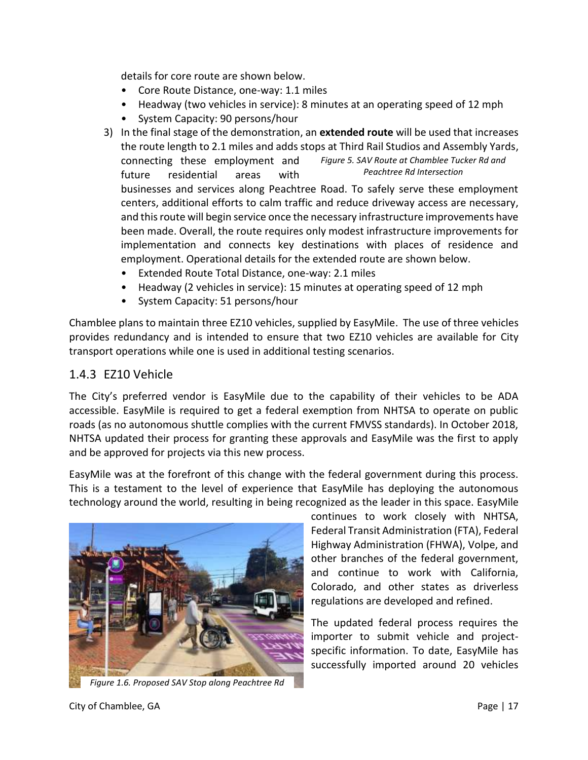details for core route are shown below.

- Core Route Distance, one-way: 1.1 miles
- Headway (two vehicles in service): 8 minutes at an operating speed of 12 mph
- System Capacity: 90 persons/hour
- 3) In the final stage of the demonstration, an **extended route** will be used that increases the route length to 2.1 miles and adds stops at Third Rail Studios and Assembly Yards, connecting these employment and future residential areas with businesses and services along Peachtree Road. To safely serve these employment centers, additional efforts to calm traffic and reduce driveway access are necessary, and this route will begin service once the necessary infrastructure improvements have been made. Overall, the route requires only modest infrastructure improvements for implementation and connects key destinations with places of residence and employment. Operational details for the extended route are shown below. *Figure 5. SAV Route at Chamblee Tucker Rd and Peachtree Rd Intersection*
	- Extended Route Total Distance, one-way: 2.1 miles
	- Headway (2 vehicles in service): 15 minutes at operating speed of 12 mph
	- System Capacity: 51 persons/hour

Chamblee plans to maintain three EZ10 vehicles, supplied by EasyMile. The use of three vehicles provides redundancy and is intended to ensure that two EZ10 vehicles are available for City transport operations while one is used in additional testing scenarios.

#### <span id="page-16-0"></span>1.4.3 EZ10 Vehicle

The City's preferred vendor is EasyMile due to the capability of their vehicles to be ADA accessible. EasyMile is required to get a federal exemption from NHTSA to operate on public roads (as no autonomous shuttle complies with the current FMVSS standards). In October 2018, NHTSA updated their process for granting these approvals and EasyMile was the first to apply and be approved for projects via this new process.

EasyMile was at the forefront of this change with the federal government during this process. This is a testament to the level of experience that EasyMile has deploying the autonomous technology around the world, resulting in being recognized as the leader in this space. EasyMile



*Figure 1.6. Proposed SAV Stop along Peachtree Rd*

continues to work closely with NHTSA, Federal Transit Administration (FTA), Federal Highway Administration (FHWA), Volpe, and other branches of the federal government, and continue to work with California, Colorado, and other states as driverless regulations are developed and refined.

The updated federal process requires the importer to submit vehicle and projectspecific information. To date, EasyMile has successfully imported around 20 vehicles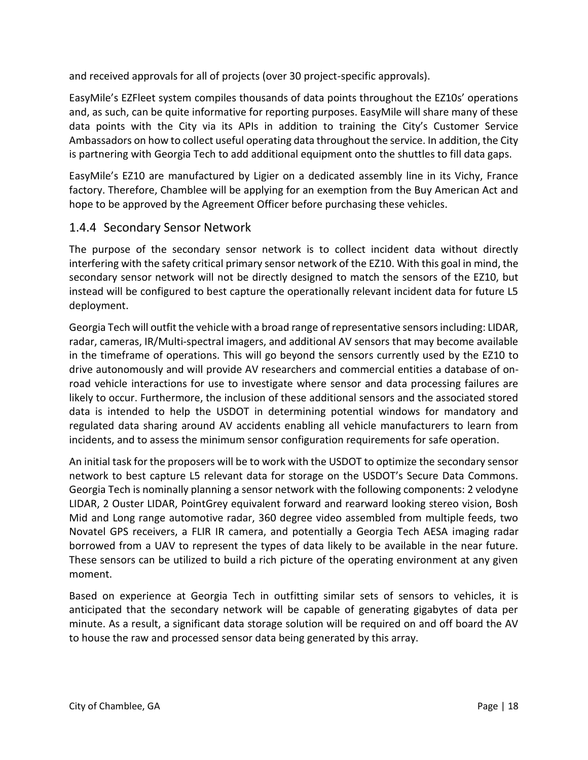and received approvals for all of projects (over 30 project-specific approvals).

EasyMile's EZFleet system compiles thousands of data points throughout the EZ10s' operations and, as such, can be quite informative for reporting purposes. EasyMile will share many of these data points with the City via its APIs in addition to training the City's Customer Service Ambassadors on how to collect useful operating data throughout the service. In addition, the City is partnering with Georgia Tech to add additional equipment onto the shuttles to fill data gaps.

EasyMile's EZ10 are manufactured by Ligier on a dedicated assembly line in its Vichy, France factory. Therefore, Chamblee will be applying for an exemption from the Buy American Act and hope to be approved by the Agreement Officer before purchasing these vehicles.

#### <span id="page-17-0"></span>1.4.4 Secondary Sensor Network

The purpose of the secondary sensor network is to collect incident data without directly interfering with the safety critical primary sensor network of the EZ10. With this goal in mind, the secondary sensor network will not be directly designed to match the sensors of the EZ10, but instead will be configured to best capture the operationally relevant incident data for future L5 deployment.

Georgia Tech will outfit the vehicle with a broad range of representative sensors including: LIDAR, radar, cameras, IR/Multi-spectral imagers, and additional AV sensors that may become available in the timeframe of operations. This will go beyond the sensors currently used by the EZ10 to drive autonomously and will provide AV researchers and commercial entities a database of onroad vehicle interactions for use to investigate where sensor and data processing failures are likely to occur. Furthermore, the inclusion of these additional sensors and the associated stored data is intended to help the USDOT in determining potential windows for mandatory and regulated data sharing around AV accidents enabling all vehicle manufacturers to learn from incidents, and to assess the minimum sensor configuration requirements for safe operation.

An initial task for the proposers will be to work with the USDOT to optimize the secondary sensor network to best capture L5 relevant data for storage on the USDOT's Secure Data Commons. Georgia Tech is nominally planning a sensor network with the following components: 2 velodyne LIDAR, 2 Ouster LIDAR, PointGrey equivalent forward and rearward looking stereo vision, Bosh Mid and Long range automotive radar, 360 degree video assembled from multiple feeds, two Novatel GPS receivers, a FLIR IR camera, and potentially a Georgia Tech AESA imaging radar borrowed from a UAV to represent the types of data likely to be available in the near future. These sensors can be utilized to build a rich picture of the operating environment at any given moment.

Based on experience at Georgia Tech in outfitting similar sets of sensors to vehicles, it is anticipated that the secondary network will be capable of generating gigabytes of data per minute. As a result, a significant data storage solution will be required on and off board the AV to house the raw and processed sensor data being generated by this array.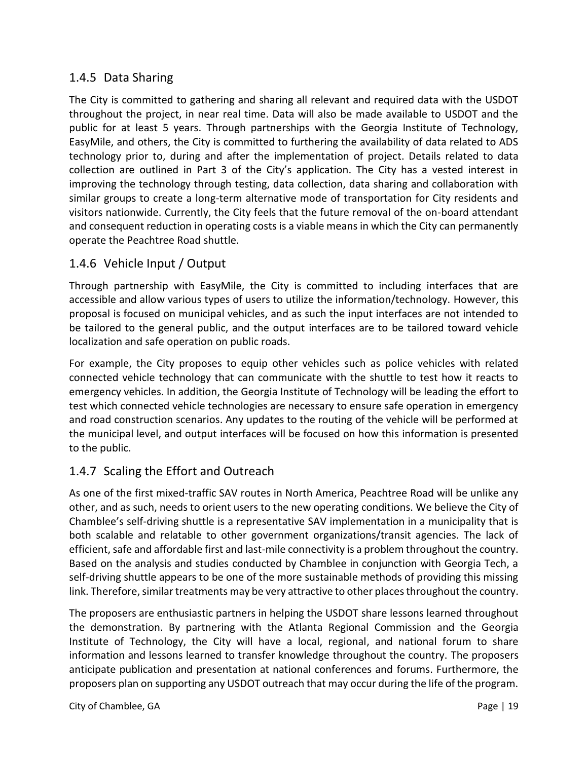## <span id="page-18-0"></span>1.4.5 Data Sharing

The City is committed to gathering and sharing all relevant and required data with the USDOT throughout the project, in near real time. Data will also be made available to USDOT and the public for at least 5 years. Through partnerships with the Georgia Institute of Technology, EasyMile, and others, the City is committed to furthering the availability of data related to ADS technology prior to, during and after the implementation of project. Details related to data collection are outlined in Part 3 of the City's application. The City has a vested interest in improving the technology through testing, data collection, data sharing and collaboration with similar groups to create a long-term alternative mode of transportation for City residents and visitors nationwide. Currently, the City feels that the future removal of the on-board attendant and consequent reduction in operating costs is a viable means in which the City can permanently operate the Peachtree Road shuttle.

### <span id="page-18-1"></span>1.4.6 Vehicle Input / Output

Through partnership with EasyMile, the City is committed to including interfaces that are accessible and allow various types of users to utilize the information/technology. However, this proposal is focused on municipal vehicles, and as such the input interfaces are not intended to be tailored to the general public, and the output interfaces are to be tailored toward vehicle localization and safe operation on public roads.

For example, the City proposes to equip other vehicles such as police vehicles with related connected vehicle technology that can communicate with the shuttle to test how it reacts to emergency vehicles. In addition, the Georgia Institute of Technology will be leading the effort to test which connected vehicle technologies are necessary to ensure safe operation in emergency and road construction scenarios. Any updates to the routing of the vehicle will be performed at the municipal level, and output interfaces will be focused on how this information is presented to the public.

# <span id="page-18-2"></span>1.4.7 Scaling the Effort and Outreach

As one of the first mixed-traffic SAV routes in North America, Peachtree Road will be unlike any other, and as such, needs to orient users to the new operating conditions. We believe the City of Chamblee's self-driving shuttle is a representative SAV implementation in a municipality that is both scalable and relatable to other government organizations/transit agencies. The lack of efficient, safe and affordable first and last-mile connectivity is a problem throughout the country. Based on the analysis and studies conducted by Chamblee in conjunction with Georgia Tech, a self-driving shuttle appears to be one of the more sustainable methods of providing this missing link. Therefore, similar treatments may be very attractive to other places throughout the country.

The proposers are enthusiastic partners in helping the USDOT share lessons learned throughout the demonstration. By partnering with the Atlanta Regional Commission and the Georgia Institute of Technology, the City will have a local, regional, and national forum to share information and lessons learned to transfer knowledge throughout the country. The proposers anticipate publication and presentation at national conferences and forums. Furthermore, the proposers plan on supporting any USDOT outreach that may occur during the life of the program.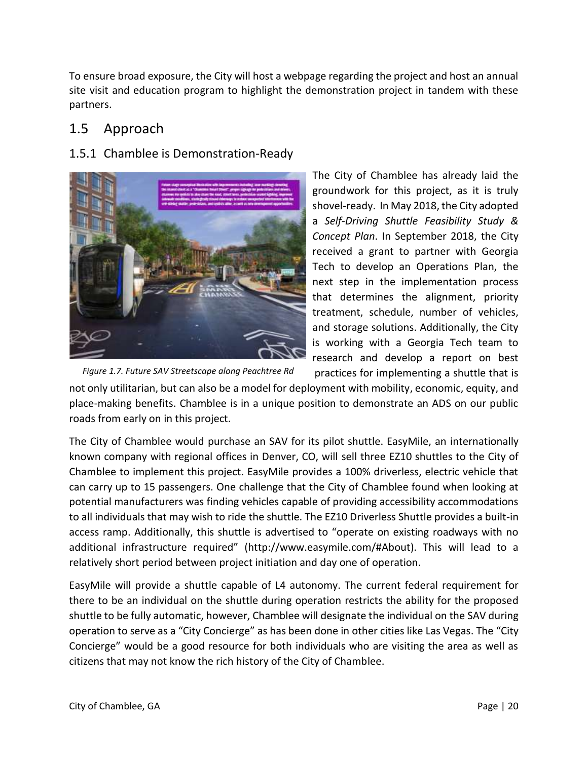To ensure broad exposure, the City will host a webpage regarding the project and host an annual site visit and education program to highlight the demonstration project in tandem with these partners.

# <span id="page-19-0"></span>1.5 Approach

# <span id="page-19-1"></span>1.5.1 Chamblee is Demonstration-Ready



The City of Chamblee has already laid the groundwork for this project, as it is truly shovel-ready. In May 2018, the City adopted a *Self-Driving Shuttle Feasibility Study & Concept Plan*. In September 2018, the City received a grant to partner with Georgia Tech to develop an Operations Plan, the next step in the implementation process that determines the alignment, priority treatment, schedule, number of vehicles, and storage solutions. Additionally, the City is working with a Georgia Tech team to research and develop a report on best

practices for implementing a shuttle that is not only utilitarian, but can also be a model for deployment with mobility, economic, equity, and place-making benefits. Chamblee is in a unique position to demonstrate an ADS on our public roads from early on in this project. *Figure 1.7. Future SAV Streetscape along Peachtree Rd*

The City of Chamblee would purchase an SAV for its pilot shuttle. EasyMile, an internationally known company with regional offices in Denver, CO, will sell three EZ10 shuttles to the City of Chamblee to implement this project. EasyMile provides a 100% driverless, electric vehicle that can carry up to 15 passengers. One challenge that the City of Chamblee found when looking at potential manufacturers was finding vehicles capable of providing accessibility accommodations to all individuals that may wish to ride the shuttle. The EZ10 Driverless Shuttle provides a built-in access ramp. Additionally, this shuttle is advertised to "operate on existing roadways with no additional infrastructure required" (http://www.easymile.com/#About). This will lead to a relatively short period between project initiation and day one of operation.

EasyMile will provide a shuttle capable of L4 autonomy. The current federal requirement for there to be an individual on the shuttle during operation restricts the ability for the proposed shuttle to be fully automatic, however, Chamblee will designate the individual on the SAV during operation to serve as a "City Concierge" as has been done in other cities like Las Vegas. The "City Concierge" would be a good resource for both individuals who are visiting the area as well as citizens that may not know the rich history of the City of Chamblee.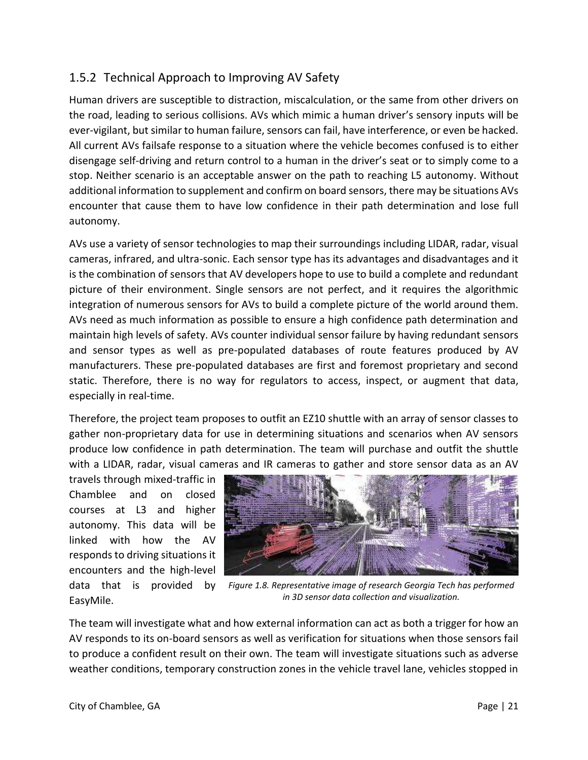# <span id="page-20-0"></span>1.5.2 Technical Approach to Improving AV Safety

Human drivers are susceptible to distraction, miscalculation, or the same from other drivers on the road, leading to serious collisions. AVs which mimic a human driver's sensory inputs will be ever-vigilant, but similar to human failure, sensors can fail, have interference, or even be hacked. All current AVs failsafe response to a situation where the vehicle becomes confused is to either disengage self-driving and return control to a human in the driver's seat or to simply come to a stop. Neither scenario is an acceptable answer on the path to reaching L5 autonomy. Without additional information to supplement and confirm on board sensors, there may be situations AVs encounter that cause them to have low confidence in their path determination and lose full autonomy.

AVs use a variety of sensor technologies to map their surroundings including LIDAR, radar, visual cameras, infrared, and ultra-sonic. Each sensor type has its advantages and disadvantages and it is the combination of sensors that AV developers hope to use to build a complete and redundant picture of their environment. Single sensors are not perfect, and it requires the algorithmic integration of numerous sensors for AVs to build a complete picture of the world around them. AVs need as much information as possible to ensure a high confidence path determination and maintain high levels of safety. AVs counter individual sensor failure by having redundant sensors and sensor types as well as pre-populated databases of route features produced by AV manufacturers. These pre-populated databases are first and foremost proprietary and second static. Therefore, there is no way for regulators to access, inspect, or augment that data, especially in real-time.

Therefore, the project team proposes to outfit an EZ10 shuttle with an array of sensor classes to gather non-proprietary data for use in determining situations and scenarios when AV sensors produce low confidence in path determination. The team will purchase and outfit the shuttle with a LIDAR, radar, visual cameras and IR cameras to gather and store sensor data as an AV

travels through mixed-traffic in Chamblee and on closed courses at L3 and higher autonomy. This data will be linked with how the AV responds to driving situations it encounters and the high-level data that is provided by EasyMile.



*Figure 1.8. Representative image of research Georgia Tech has performed in 3D sensor data collection and visualization.*

The team will investigate what and how external information can act as both a trigger for how an AV responds to its on-board sensors as well as verification for situations when those sensors fail to produce a confident result on their own. The team will investigate situations such as adverse weather conditions, temporary construction zones in the vehicle travel lane, vehicles stopped in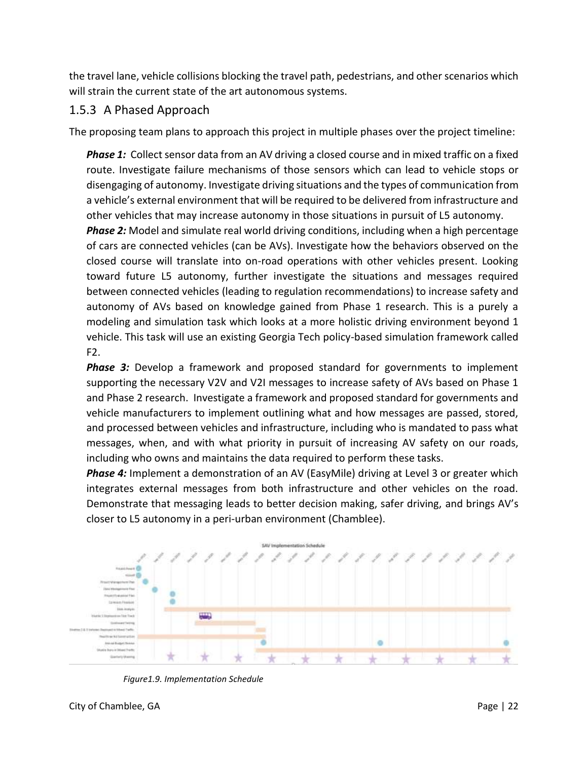the travel lane, vehicle collisions blocking the travel path, pedestrians, and other scenarios which will strain the current state of the art autonomous systems.

### <span id="page-21-0"></span>1.5.3 A Phased Approach

The proposing team plans to approach this project in multiple phases over the project timeline:

*Phase 1:* Collect sensor data from an AV driving a closed course and in mixed traffic on a fixed route. Investigate failure mechanisms of those sensors which can lead to vehicle stops or disengaging of autonomy. Investigate driving situations and the types of communication from a vehicle's external environment that will be required to be delivered from infrastructure and other vehicles that may increase autonomy in those situations in pursuit of L5 autonomy.

*Phase 2:* Model and simulate real world driving conditions, including when a high percentage of cars are connected vehicles (can be AVs). Investigate how the behaviors observed on the closed course will translate into on-road operations with other vehicles present. Looking toward future L5 autonomy, further investigate the situations and messages required between connected vehicles (leading to regulation recommendations) to increase safety and autonomy of AVs based on knowledge gained from Phase 1 research. This is a purely a modeling and simulation task which looks at a more holistic driving environment beyond 1 vehicle. This task will use an existing Georgia Tech policy-based simulation framework called F2.

*Phase 3:* Develop a framework and proposed standard for governments to implement supporting the necessary V2V and V2I messages to increase safety of AVs based on Phase 1 and Phase 2 research. Investigate a framework and proposed standard for governments and vehicle manufacturers to implement outlining what and how messages are passed, stored, and processed between vehicles and infrastructure, including who is mandated to pass what messages, when, and with what priority in pursuit of increasing AV safety on our roads, including who owns and maintains the data required to perform these tasks.

*Phase 4:* Implement a demonstration of an AV (EasyMile) driving at Level 3 or greater which integrates external messages from both infrastructure and other vehicles on the road. Demonstrate that messaging leads to better decision making, safer driving, and brings AV's closer to L5 autonomy in a peri-urban environment (Chamblee).



*Figure1.9. Implementation Schedule*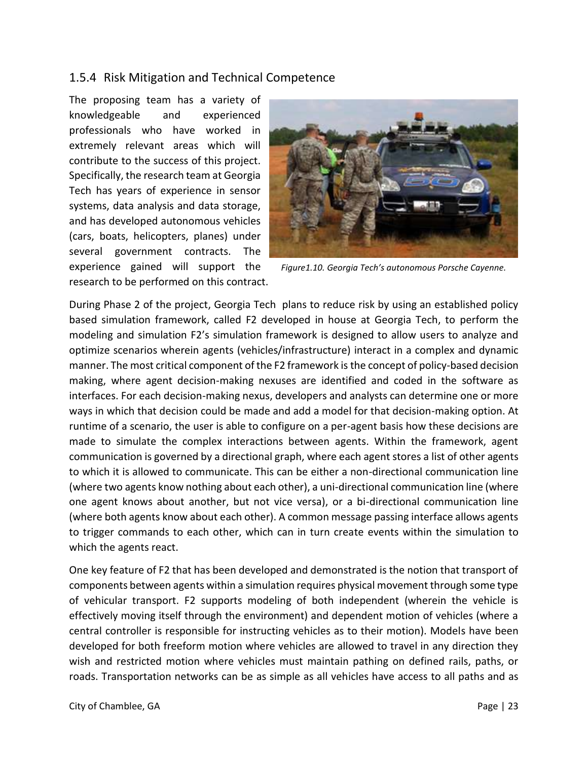### <span id="page-22-0"></span>1.5.4 Risk Mitigation and Technical Competence

The proposing team has a variety of knowledgeable and experienced professionals who have worked in extremely relevant areas which will contribute to the success of this project. Specifically, the research team at Georgia Tech has years of experience in sensor systems, data analysis and data storage, and has developed autonomous vehicles (cars, boats, helicopters, planes) under several government contracts. The experience gained will support the research to be performed on this contract.



*Figure1.10. Georgia Tech's autonomous Porsche Cayenne.*

During Phase 2 of the project, Georgia Tech plans to reduce risk by using an established policy based simulation framework, called F2 developed in house at Georgia Tech, to perform the modeling and simulation F2's simulation framework is designed to allow users to analyze and optimize scenarios wherein agents (vehicles/infrastructure) interact in a complex and dynamic manner. The most critical component of the F2 framework is the concept of policy-based decision making, where agent decision-making nexuses are identified and coded in the software as interfaces. For each decision-making nexus, developers and analysts can determine one or more ways in which that decision could be made and add a model for that decision-making option. At runtime of a scenario, the user is able to configure on a per-agent basis how these decisions are made to simulate the complex interactions between agents. Within the framework, agent communication is governed by a directional graph, where each agent stores a list of other agents to which it is allowed to communicate. This can be either a non-directional communication line (where two agents know nothing about each other), a uni-directional communication line (where one agent knows about another, but not vice versa), or a bi-directional communication line (where both agents know about each other). A common message passing interface allows agents to trigger commands to each other, which can in turn create events within the simulation to which the agents react.

One key feature of F2 that has been developed and demonstrated is the notion that transport of components between agents within a simulation requires physical movement through some type of vehicular transport. F2 supports modeling of both independent (wherein the vehicle is effectively moving itself through the environment) and dependent motion of vehicles (where a central controller is responsible for instructing vehicles as to their motion). Models have been developed for both freeform motion where vehicles are allowed to travel in any direction they wish and restricted motion where vehicles must maintain pathing on defined rails, paths, or roads. Transportation networks can be as simple as all vehicles have access to all paths and as